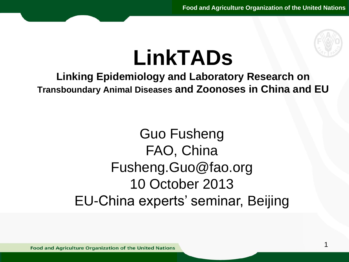

### del titologie<br>Del titologie del titologie del titologie del titologie del terme del terme del titologie del titologie del t<br>Del titologie del titologie del titologie del titologie del titologie del titologie del titologie **LinkTADs**

## **Linking Epidemiology and Laboratory Research on Transboundary Animal Diseases and Zoonoses in China and EU**

#### • Quarto livello Guo Fusheng FAO, China Fusheng.Guo@fao.org 10 October 2013 EU-China experts' seminar, Beijing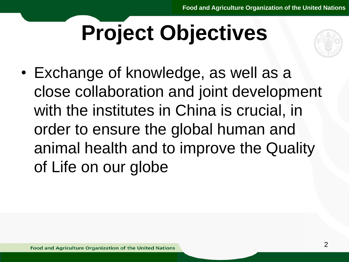### Fare click per modification of the contract of the contract of the contract of the contract of the contract of the contract of the contract of the contract of the contract of the contract of the contract of the contract of de opjec **Project Objectives**



• Exchange of knowledge, as well as a close collaboration and joint development with the institute • Terzo livello erminant<br>of Life on our with the institutes in China is crucial, in order to ensure the global human and animal health and to improve the Quality of Life on our globe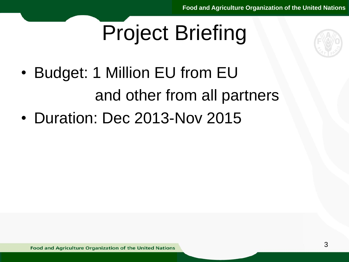### $S^2$   $D^2$   $D^2$   $D^2$   $D^2$   $D^2$   $D^2$   $D^2$   $D^2$   $D^2$   $D^2$   $D^2$   $D^2$   $D^2$   $D^2$   $D^2$   $D^2$   $D^2$   $D^2$   $D^2$   $D^2$   $D^2$   $D^2$   $D^2$   $D^2$   $D^2$   $D^2$   $D^2$   $D^2$   $D^2$   $D^2$   $D^2$   $D^2$   $D^2$   $D^2$   $D^2$   $D^2$ juul Dijul<br>. Project Briefing



- Budget: 1 Million EU from EU della schema schema schema schema schema schema schema schema schema schema schema schema schema schema schema<br>Della schema schema schema schema schema schema schema schema schema schema schema schema schema schema schema and other from all partners
- Duration: Dec 2 • Duration: Dec 2013-Nov 2015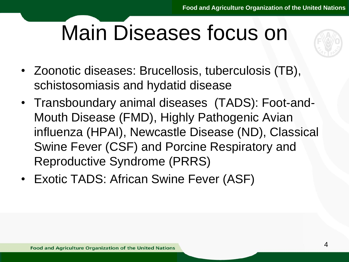### Farmer Clic per model per model per model per model per model per model per model per model per model per model per dedue r Main Diseases focus on



- Zoonotic diseases: Brucellosis, tuberculosis (TB), schistosomiasis a<br><del>-</del> schistosomiasis and hydatid disease
- Mouth Disease (FMD), Highly Pathogenic Avian influenza (HPAI), Newcastle Disease (ND), Classical Reproductive Syndrome (PRRS) • Transboundary animal diseases (TADS): Foot-and-Swine Fever (CSF) and Porcine Respiratory and
- Exotic TADS: African Swine Fever (ASF)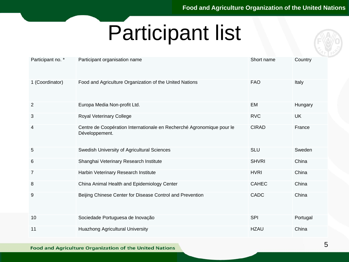### $F = \frac{1}{\sqrt{2\pi}} \int_{0}^{\pi} \frac{1}{\sqrt{2\pi}} \, \sin \theta \, d\theta + \frac{1}{\sqrt{2\pi}} \int_{0}^{\pi} \frac{1}{\sqrt{2\pi}} \, \cos \theta \, d\theta + \frac{1}{\sqrt{2\pi}} \int_{0}^{\pi} \frac{1}{\sqrt{2\pi}} \, \cos \theta \, d\theta + \frac{1}{\sqrt{2\pi}} \int_{0}^{\pi} \frac{1}{\sqrt{2\pi}} \, \cos \theta \, d\theta + \frac{1}{\sqrt{2\pi}} \int_{0}^{\pi} \frac{1}{\sqrt{2\pi}} \, \cos \$ ideparie Participant list

| Participant no. * | Participant organisation name                                                           | Short name   | Country   |
|-------------------|-----------------------------------------------------------------------------------------|--------------|-----------|
| 1 (Coordinator)   | Food and Agriculture Organization of the United Nations                                 | <b>FAO</b>   | Italy     |
| $\overline{2}$    | Europa Media Non-profit Ltd.                                                            | EM           | Hungary   |
| 3                 | <b>Royal Veterinary College</b>                                                         | <b>RVC</b>   | <b>UK</b> |
| 4                 | Centre de Coopération Internationale en Recherché Agronomique pour le<br>Développement. | <b>CIRAD</b> | France    |
| 5                 | Swedish University of Agricultural Sciences                                             | <b>SLU</b>   | Sweden    |
| 6                 | Shanghai Veterinary Research Institute                                                  | <b>SHVRI</b> | China     |
| 7                 | Harbin Veterinary Research Institute                                                    | <b>HVRI</b>  | China     |
| 8                 | China Animal Health and Epidemiology Center                                             | <b>CAHEC</b> | China     |
| 9                 | Beijing Chinese Center for Disease Control and Prevention                               | <b>CADC</b>  | China     |
| 10                | Sociedade Portuguesa de Inovação                                                        | <b>SPI</b>   | Portugal  |
| 11                | <b>Huazhong Agricultural University</b>                                                 | <b>HZAU</b>  | China     |

**Food and Agriculture Organization of the United Nations**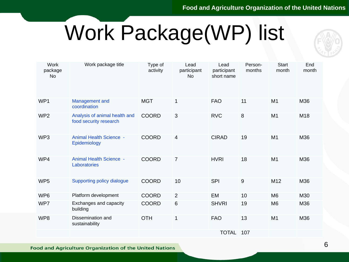### $\overline{M}_{\text{A}}$ denager Work Package(WP) list



|  | <b>Work</b><br>package<br><b>No</b> | Work package title                                      | Type of<br>activity | Lead<br>participant<br><b>No</b> | Lead<br>participant<br>short name | Person-<br>months | <b>Start</b><br>month | End<br>month |
|--|-------------------------------------|---------------------------------------------------------|---------------------|----------------------------------|-----------------------------------|-------------------|-----------------------|--------------|
|  | WP1                                 | Management and<br>coordination                          | <b>MGT</b>          | 1                                | <b>FAO</b>                        | 11                | M <sub>1</sub>        | M36          |
|  | WP <sub>2</sub>                     | Analysis of animal health and<br>food security research | <b>COORD</b>        | 3                                | <b>RVC</b>                        | 8                 | M <sub>1</sub>        | M18          |
|  | WP3                                 | <b>Animal Health Science -</b><br>Epidemiology          | <b>COORD</b>        | $\overline{4}$                   | <b>CIRAD</b>                      | 19                | M1                    | M36          |
|  | WP4                                 | <b>Animal Health Science -</b><br>Laboratories          | <b>COORD</b>        | $\overline{7}$                   | <b>HVRI</b>                       | 18                | M1                    | M36          |
|  | WP <sub>5</sub>                     | Supporting policy dialogue                              | <b>COORD</b>        | 10                               | <b>SPI</b>                        | $9$               | M12                   | M36          |
|  | WP <sub>6</sub>                     | Platform development                                    | <b>COORD</b>        | 2                                | EM                                | 10                | M <sub>6</sub>        | M30          |
|  | WP7                                 | Exchanges and capacity<br>building                      | <b>COORD</b>        | $6\,$                            | <b>SHVRI</b>                      | 19                | M <sub>6</sub>        | M36          |
|  | WP8                                 | Dissemination and<br>sustainability                     | <b>OTH</b>          | $\mathbf{1}$                     | <b>FAO</b>                        | 13                | M <sub>1</sub>        | M36          |
|  |                                     |                                                         |                     |                                  | <b>TOTAL</b>                      | 107               |                       |              |

**Food and Agriculture Organization of the United Nations**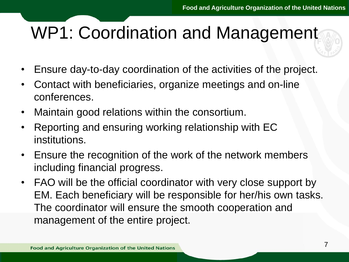### $F_{\rm F}$ duon did WP1: Coordination and Management

- Ensure day-to-day coordination of the activities of the project.
- Conferences.<br>conferences. • Contact with beneficiaries, organize meetings and on-line conferences.
- Maintain good relations within the consortium.
- reporting and one • Reporting and ensuring working relationship with EC
- Ensure the recognition of the work of the network members<br>including financial progress including financial progress.
- FAO will be the official coordinator with very close support by EM. Each beneficiary will be responsible for her/his own tasks. The coordinator will ensure the smooth cooperation and management of the entire project.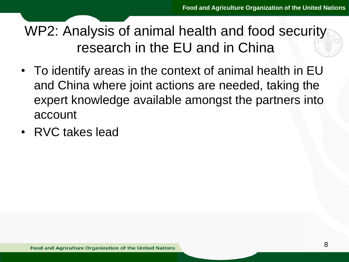### Farmer Click per model in the model of the model in the model of the model of the model of the model of the model of the model of the model of the model of the model of the model of the model of the model of the model of t research in the EU and in China WP2: Analysis of animal health and food security

- To identify areas in the context of animal health in EU and Crima where<br>avoort koowledge account and China where joint actions are needed, taking the expert knowledge available amongst the partners into
- RVC takes lead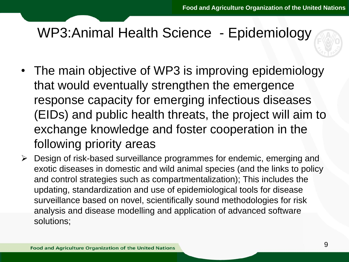### Faidomichensel Hoolth Coionee Enidemicleau ditti Solonoo WP3:Animal Health Science - Epidemiology

- The main objective of WP3 is improving epidemiology mal would evenit<br>rosponse capacit (EIDs) and public health threats, the project will aim to excritative Kriuw<br>following priorit that would eventually strengthen the emergence response capacity for emerging infectious diseases exchange knowledge and foster cooperation in the following priority areas
- > Design of risk-based surveillance programmes for endemic, emerging and and control strategies such as compartmentalization); This includes the<br>undating standardization and use of enidemiological tools for disease exotic diseases in domestic and wild animal species (and the links to policy updating, standardization and use of epidemiological tools for disease surveillance based on novel, scientifically sound methodologies for risk analysis and disease modelling and application of advanced software solutions;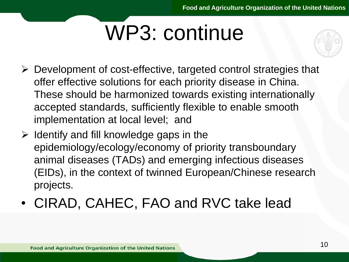### $F = \sqrt{\frac{1}{2} \sum_{n=1}^{n} \sum_{n=1}^{n} \sum_{n=1}^{n} \sum_{n=1}^{n} \sum_{n=1}^{n} \sum_{n=1}^{n} \sum_{n=1}^{n} \sum_{n=1}^{n} \sum_{n=1}^{n} \sum_{n=1}^{n} \sum_{n=1}^{n} \sum_{n=1}^{n} \sum_{n=1}^{n} \sum_{n=1}^{n} \sum_{n=1}^{n} \sum_{n=1}^{n} \sum_{n=1}^{n} \sum_{n=1}^{n} \sum_{n=1}^{n} \sum_{n=1}^{n} \sum_{n=1}^{n$ U. UUTIU WP3: continue

- > Development of cost-effective, targeted control strategies that<br>effective solutions for seeh prierity diasons in China oner enceave cerations for each pricitly alcease in ermici-<br>These should be harmonized towards existing internationally accepted startuards, sumclently he<br>implementation at local level; and offer effective solutions for each priority disease in China. accepted standards, sufficiently flexible to enable smooth
- $\triangleright$  Identify and fill knowledge gaps in the animal diseases (TADs) and emerging infectious diseases ense, mane come<br>projects. epidemiology/ecology/economy of priority transboundary (EIDs), in the context of twinned European/Chinese research
- CIRAD, CAHEC, FAO and RVC take lead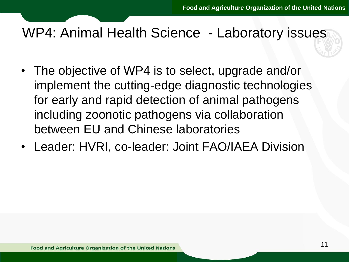### $F_{\rm F}$ del titologie de la titologie de la titologie de la titologie de la titologie de la titologie de la titologie <br>Del titologie de la titologie de la titologie de la titologie de la titologie de la titologie de la titologie WP4: Animal Health Science - Laboratory issues

- The objective of WP4 is to select, upgrade and/or implement the cu<br>for early and rapi including zoonotic pathogens via collaboration **DELWEEH LU AH**<br>• Leeder: UVDL implement the cutting-edge diagnostic technologies for early and rapid detection of animal pathogens between EU and Chinese laboratories
- Quarto livello • Leader: HVRI, co-leader: Joint FAO/IAEA Division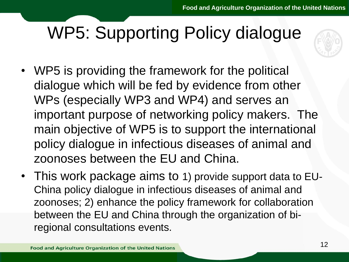### Fare curso fina Doliar dialogue diang i di WP5: Supporting Policy dialogue



- WP5 is providing the framework for the political dialogue wriich w<br>WPc (ocnocially ) important purpose of networking policy makers. The ouve in an indire<br>• Territor dialogue zoonoses between the EU and China. dialogue which will be fed by evidence from other WPs (especially WP3 and WP4) and serves an main objective of WP5 is to support the international policy dialogue in infectious diseases of animal and
- I NIS WORK packa • This work package aims to 1) provide support data to EU-China policy dialogue in infectious diseases of animal and zoonoses; 2) enhance the policy framework for collaboration between the EU and China through the organization of biregional consultations events.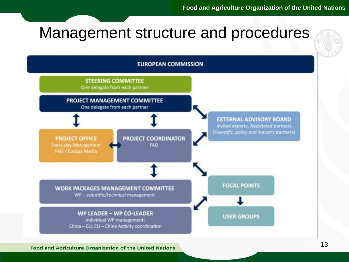### $F_{\text{A}}$ Management structure and procedures



**Food and Agriculture Organization of the United Nations**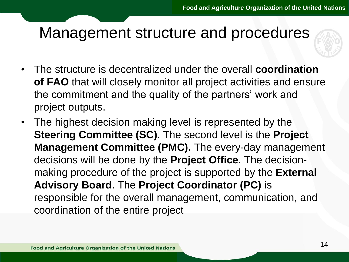### $F_{\text{A}}$ del dollard di Management structure and procedures

- The structure is decentralized under the overall **coordination 1996** If you are that will slooply mortion all project activities and of<br>the commitment and the quality of the partners' work and project outputs.<br>• The bighest decision m **of FAO** that will closely monitor all project activities and ensure project outputs.
- **Steering Committee (SC)**. The second level is the **Project** decisions will be done by the **Project Office**. The decision-Advisory Board. The Project Coordinator (PC) is • The highest decision making level is represented by the **Management Committee (PMC).** The every-day management making procedure of the project is supported by the **External**  responsible for the overall management, communication, and coordination of the entire project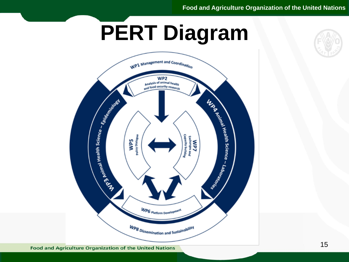## Fare click per modification and contact the contact of the contact of the contact of the contact of the contact of the contact of the contact of the contact of the contact of the contact of the contact of the contact of th **PERT Diagram**